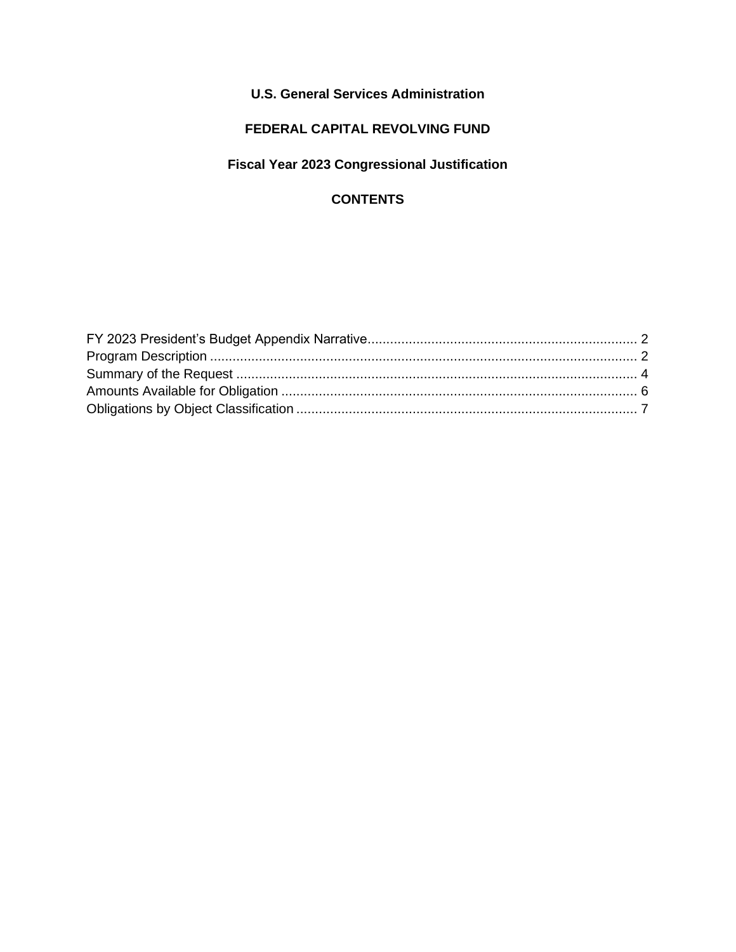## **U.S. General Services Administration**

## **FEDERAL CAPITAL REVOLVING FUND**

## **Fiscal Year 2023 Congressional Justification**

#### **CONTENTS**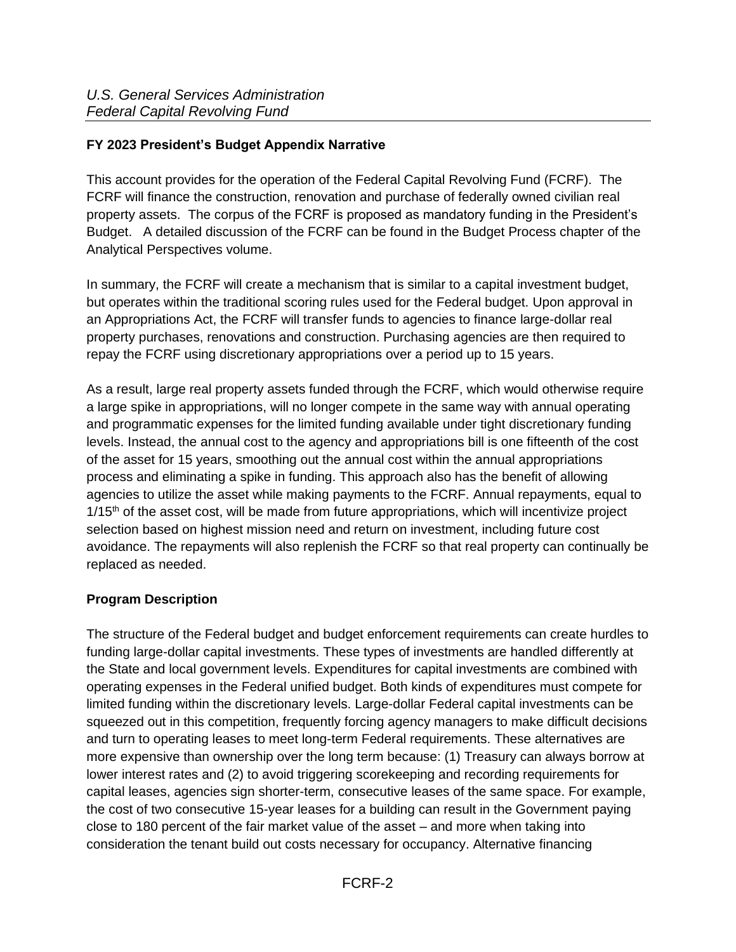#### <span id="page-1-0"></span>**FY 2023 President's Budget Appendix Narrative**

This account provides for the operation of the Federal Capital Revolving Fund (FCRF). The FCRF will finance the construction, renovation and purchase of federally owned civilian real property assets. The corpus of the FCRF is proposed as mandatory funding in the President's Budget. A detailed discussion of the FCRF can be found in the Budget Process chapter of the Analytical Perspectives volume.

In summary, the FCRF will create a mechanism that is similar to a capital investment budget, but operates within the traditional scoring rules used for the Federal budget. Upon approval in an Appropriations Act, the FCRF will transfer funds to agencies to finance large-dollar real property purchases, renovations and construction. Purchasing agencies are then required to repay the FCRF using discretionary appropriations over a period up to 15 years.

As a result, large real property assets funded through the FCRF, which would otherwise require a large spike in appropriations, will no longer compete in the same way with annual operating and programmatic expenses for the limited funding available under tight discretionary funding levels. Instead, the annual cost to the agency and appropriations bill is one fifteenth of the cost of the asset for 15 years, smoothing out the annual cost within the annual appropriations process and eliminating a spike in funding. This approach also has the benefit of allowing agencies to utilize the asset while making payments to the FCRF. Annual repayments, equal to  $1/15<sup>th</sup>$  of the asset cost, will be made from future appropriations, which will incentivize project selection based on highest mission need and return on investment, including future cost avoidance. The repayments will also replenish the FCRF so that real property can continually be replaced as needed.

#### <span id="page-1-1"></span>**Program Description**

The structure of the Federal budget and budget enforcement requirements can create hurdles to funding large-dollar capital investments. These types of investments are handled differently at the State and local government levels. Expenditures for capital investments are combined with operating expenses in the Federal unified budget. Both kinds of expenditures must compete for limited funding within the discretionary levels. Large-dollar Federal capital investments can be squeezed out in this competition, frequently forcing agency managers to make difficult decisions and turn to operating leases to meet long-term Federal requirements. These alternatives are more expensive than ownership over the long term because: (1) Treasury can always borrow at lower interest rates and (2) to avoid triggering scorekeeping and recording requirements for capital leases, agencies sign shorter-term, consecutive leases of the same space. For example, the cost of two consecutive 15-year leases for a building can result in the Government paying close to 180 percent of the fair market value of the asset – and more when taking into consideration the tenant build out costs necessary for occupancy. Alternative financing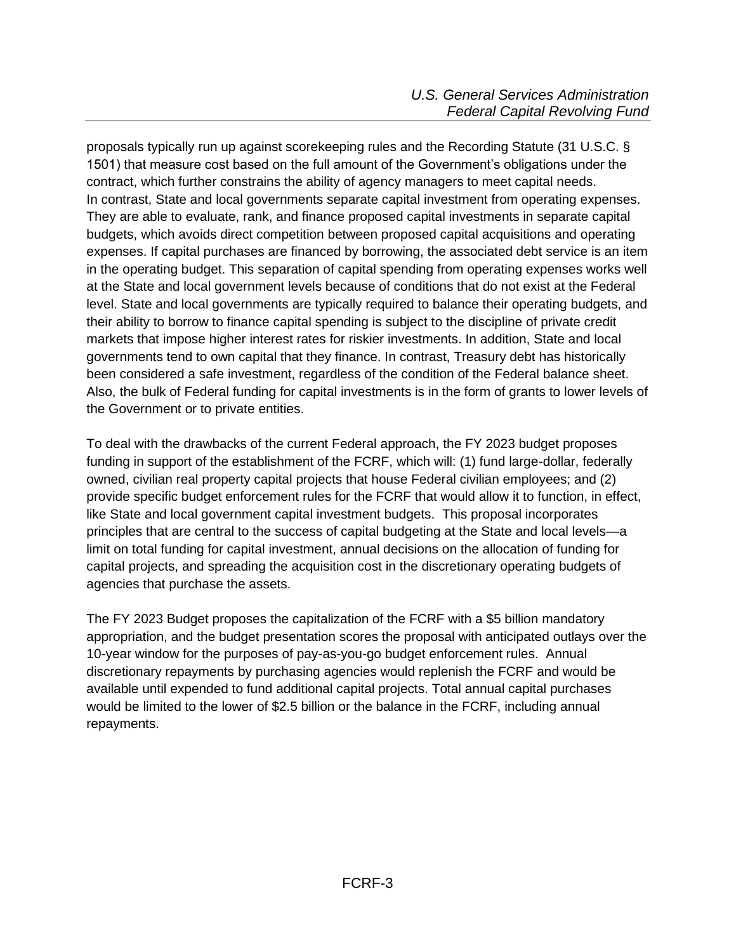proposals typically run up against scorekeeping rules and the Recording Statute (31 U.S.C. § 1501) that measure cost based on the full amount of the Government's obligations under the contract, which further constrains the ability of agency managers to meet capital needs. In contrast, State and local governments separate capital investment from operating expenses. They are able to evaluate, rank, and finance proposed capital investments in separate capital budgets, which avoids direct competition between proposed capital acquisitions and operating expenses. If capital purchases are financed by borrowing, the associated debt service is an item in the operating budget. This separation of capital spending from operating expenses works well at the State and local government levels because of conditions that do not exist at the Federal level. State and local governments are typically required to balance their operating budgets, and their ability to borrow to finance capital spending is subject to the discipline of private credit markets that impose higher interest rates for riskier investments. In addition, State and local governments tend to own capital that they finance. In contrast, Treasury debt has historically been considered a safe investment, regardless of the condition of the Federal balance sheet. Also, the bulk of Federal funding for capital investments is in the form of grants to lower levels of the Government or to private entities.

To deal with the drawbacks of the current Federal approach, the FY 2023 budget proposes funding in support of the establishment of the FCRF, which will: (1) fund large-dollar, federally owned, civilian real property capital projects that house Federal civilian employees; and (2) provide specific budget enforcement rules for the FCRF that would allow it to function, in effect, like State and local government capital investment budgets. This proposal incorporates principles that are central to the success of capital budgeting at the State and local levels—a limit on total funding for capital investment, annual decisions on the allocation of funding for capital projects, and spreading the acquisition cost in the discretionary operating budgets of agencies that purchase the assets.

The FY 2023 Budget proposes the capitalization of the FCRF with a \$5 billion mandatory appropriation, and the budget presentation scores the proposal with anticipated outlays over the 10-year window for the purposes of pay-as-you-go budget enforcement rules. Annual discretionary repayments by purchasing agencies would replenish the FCRF and would be available until expended to fund additional capital projects. Total annual capital purchases would be limited to the lower of \$2.5 billion or the balance in the FCRF, including annual repayments.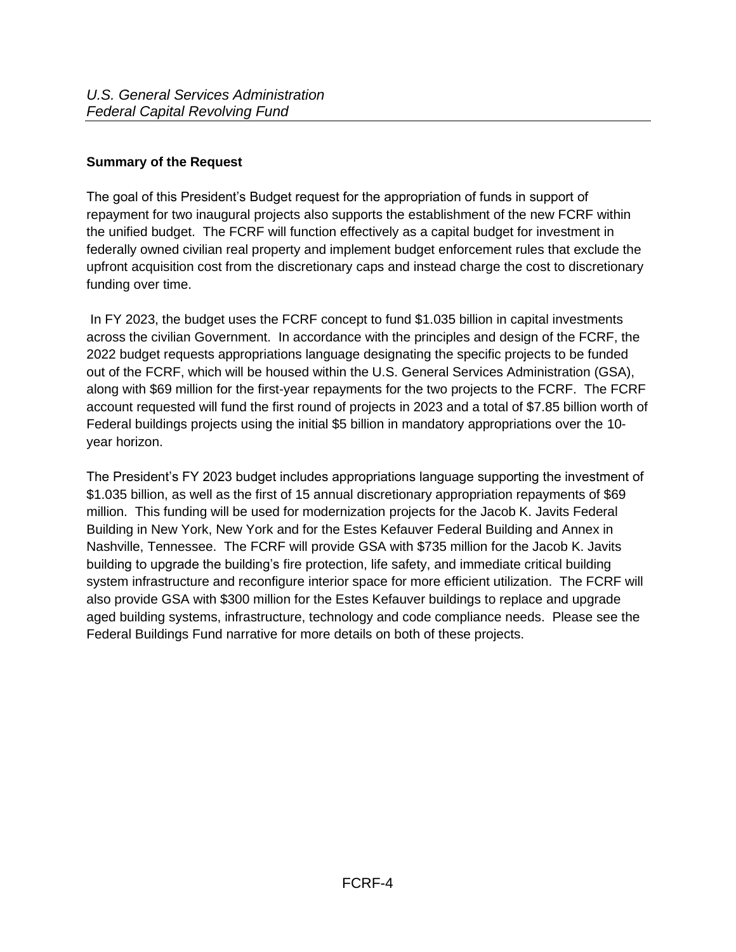### <span id="page-3-0"></span>**Summary of the Request**

The goal of this President's Budget request for the appropriation of funds in support of repayment for two inaugural projects also supports the establishment of the new FCRF within the unified budget. The FCRF will function effectively as a capital budget for investment in federally owned civilian real property and implement budget enforcement rules that exclude the upfront acquisition cost from the discretionary caps and instead charge the cost to discretionary funding over time.

In FY 2023, the budget uses the FCRF concept to fund \$1.035 billion in capital investments across the civilian Government. In accordance with the principles and design of the FCRF, the 2022 budget requests appropriations language designating the specific projects to be funded out of the FCRF, which will be housed within the U.S. General Services Administration (GSA), along with \$69 million for the first-year repayments for the two projects to the FCRF. The FCRF account requested will fund the first round of projects in 2023 and a total of \$7.85 billion worth of Federal buildings projects using the initial \$5 billion in mandatory appropriations over the 10 year horizon.

The President's FY 2023 budget includes appropriations language supporting the investment of \$1.035 billion, as well as the first of 15 annual discretionary appropriation repayments of \$69 million. This funding will be used for modernization projects for the Jacob K. Javits Federal Building in New York, New York and for the Estes Kefauver Federal Building and Annex in Nashville, Tennessee. The FCRF will provide GSA with \$735 million for the Jacob K. Javits building to upgrade the building's fire protection, life safety, and immediate critical building system infrastructure and reconfigure interior space for more efficient utilization. The FCRF will also provide GSA with \$300 million for the Estes Kefauver buildings to replace and upgrade aged building systems, infrastructure, technology and code compliance needs. Please see the Federal Buildings Fund narrative for more details on both of these projects.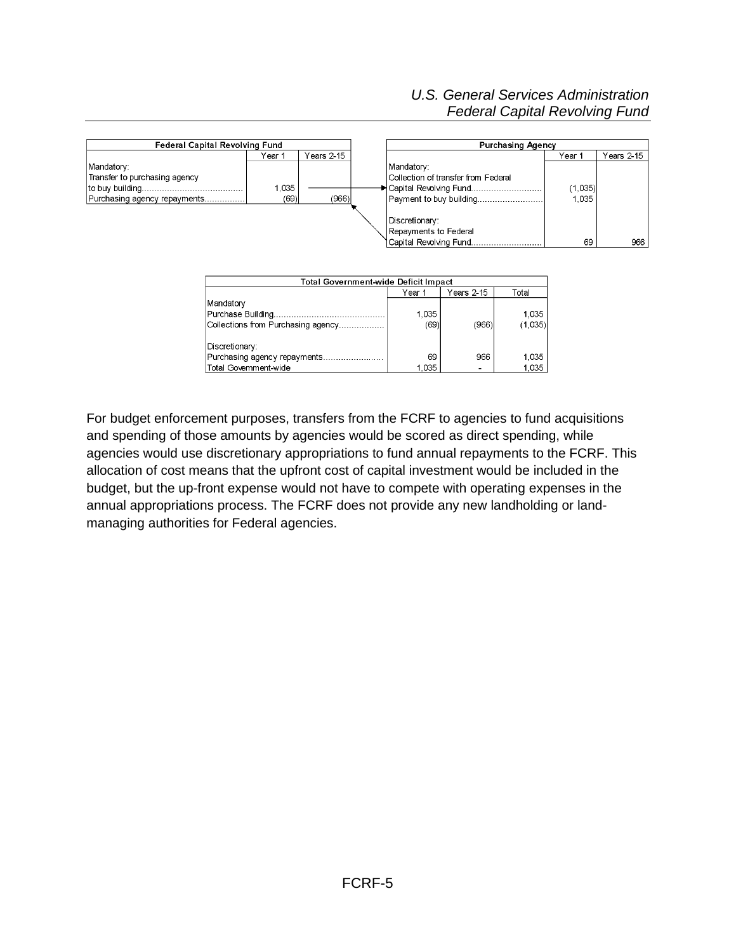#### *U.S. General Services Administration Federal Capital Revolving Fund*



For budget enforcement purposes, transfers from the FCRF to agencies to fund acquisitions and spending of those amounts by agencies would be scored as direct spending, while agencies would use discretionary appropriations to fund annual repayments to the FCRF. This allocation of cost means that the upfront cost of capital investment would be included in the budget, but the up-front expense would not have to compete with operating expenses in the annual appropriations process. The FCRF does not provide any new landholding or landmanaging authorities for Federal agencies.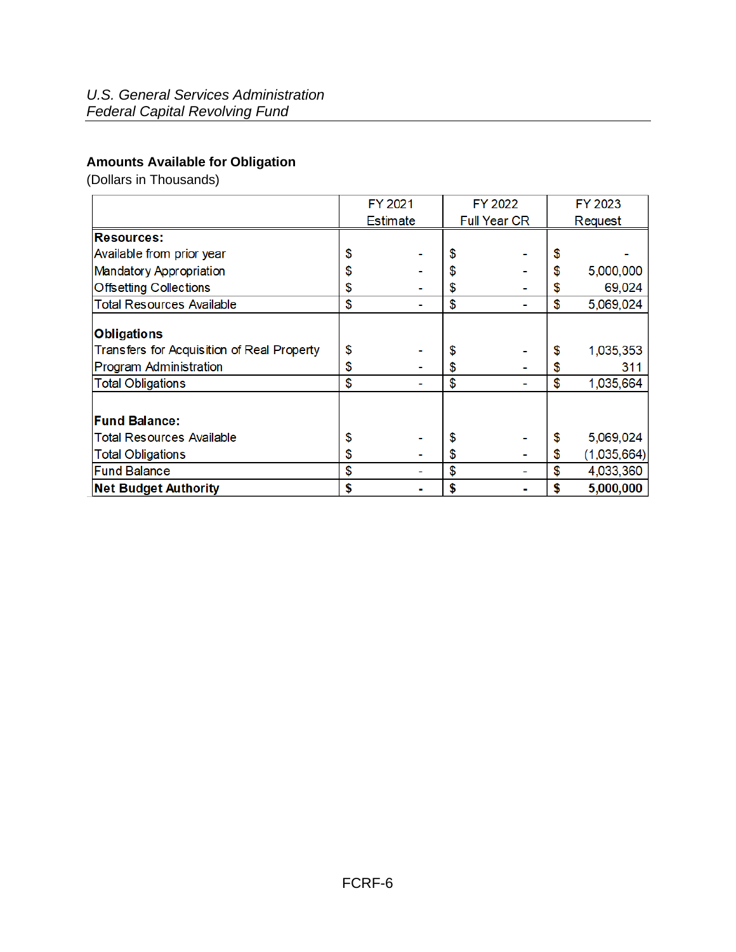# <span id="page-5-0"></span>**Amounts Available for Obligation**

(Dollars in Thousands)

|                                            | FY 2021         |  | FY 2022             |  | FY 2023 |             |  |
|--------------------------------------------|-----------------|--|---------------------|--|---------|-------------|--|
|                                            | <b>Estimate</b> |  | <b>Full Year CR</b> |  | Request |             |  |
| <b>Resources:</b>                          |                 |  |                     |  |         |             |  |
| Available from prior year                  | \$              |  | \$                  |  | \$      |             |  |
| <b>Mandatory Appropriation</b>             | \$              |  | \$                  |  | \$      | 5,000,000   |  |
| <b>Offsetting Collections</b>              | \$              |  | \$                  |  | \$      | 69,024      |  |
| <b>Total Resources Available</b>           | \$              |  | \$                  |  | \$      | 5,069,024   |  |
| <b>Obligations</b>                         |                 |  |                     |  |         |             |  |
| Transfers for Acquisition of Real Property | \$              |  | \$                  |  | \$      | 1,035,353   |  |
| Program Administration                     | \$              |  | \$                  |  | S       | 311         |  |
| <b>Total Obligations</b>                   | \$              |  | \$                  |  | \$      | 1,035,664   |  |
|                                            |                 |  |                     |  |         |             |  |
| <b>Fund Balance:</b>                       |                 |  |                     |  |         |             |  |
| <b>Total Resources Available</b>           | \$              |  | \$                  |  | \$      | 5,069,024   |  |
| <b>Total Obligations</b>                   | \$              |  | \$                  |  | \$      | (1,035,664) |  |
| <b>Fund Balance</b>                        | \$              |  | \$                  |  | \$      | 4,033,360   |  |
| <b>Net Budget Authority</b>                | \$              |  | \$                  |  | \$      | 5,000,000   |  |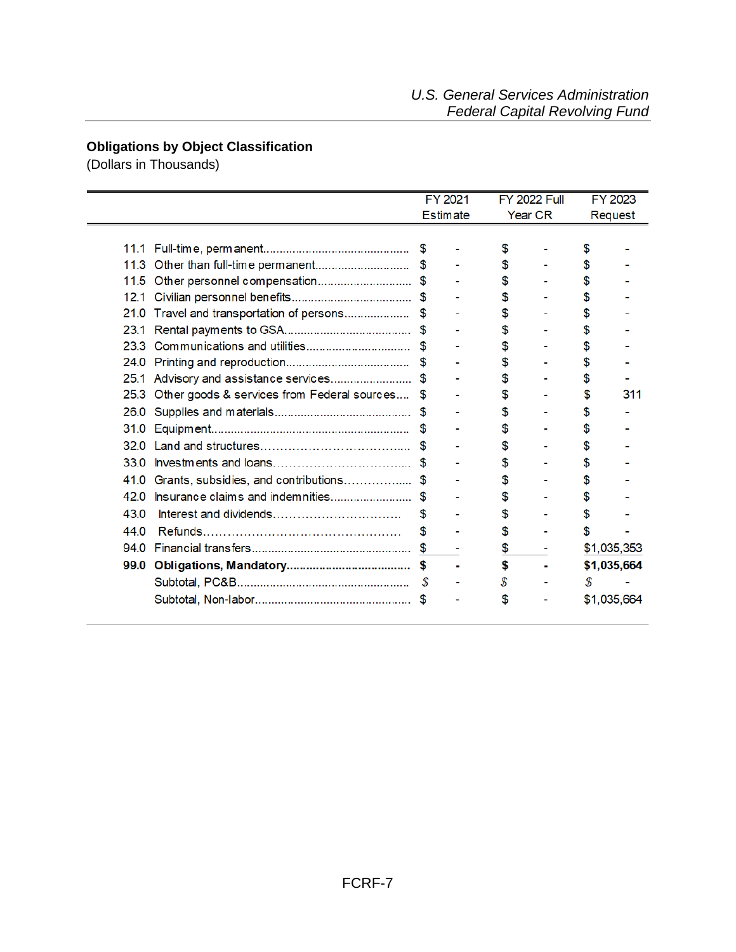#### <span id="page-6-0"></span>**Obligations by Object Classification**

(Dollars in Thousands)

|      |                                             | FY 2021<br><b>Estimate</b> |  |    | <b>FY 2022 Full</b> |    | FY 2023     |
|------|---------------------------------------------|----------------------------|--|----|---------------------|----|-------------|
|      |                                             |                            |  |    |                     |    | Year CR     |
|      |                                             |                            |  | \$ |                     | \$ |             |
| 11.3 |                                             |                            |  | \$ |                     |    |             |
| 11.5 | Other personnel compensation\$              |                            |  | \$ |                     |    |             |
| 12.1 |                                             |                            |  | \$ |                     | S  |             |
| 21.0 | Travel and transportation of persons        | \$.                        |  | \$ |                     |    |             |
| 23.1 |                                             |                            |  | \$ |                     | \$ |             |
| 23.3 |                                             |                            |  | \$ |                     |    |             |
| 24.0 |                                             | \$                         |  | \$ |                     |    |             |
| 25.1 | Advisory and assistance services\$          |                            |  | S  |                     | S  |             |
| 25.3 | Other goods & services from Federal sources | \$.                        |  | \$ |                     | \$ | 311         |
| 26.0 |                                             |                            |  | \$ |                     | S  |             |
| 31.0 |                                             |                            |  | S  |                     | S  |             |
| 32 O |                                             |                            |  | \$ |                     | \$ |             |
| 33.0 |                                             |                            |  | \$ |                     | S  |             |
| 41.0 | Grants, subsidies, and contributions        | \$.                        |  | \$ |                     | \$ |             |
| 42 O | Insurance claims and indemnities            |                            |  |    |                     |    |             |
| 43.0 | Interest and dividends                      | S                          |  | \$ |                     | S  |             |
| 44.0 |                                             | \$                         |  | \$ |                     |    |             |
| 94.0 |                                             | \$                         |  | \$ |                     |    | \$1,035,353 |
|      |                                             | S                          |  | \$ |                     |    | \$1,035,664 |
|      |                                             | <b>S</b>                   |  | \$ |                     | \$ |             |
|      |                                             |                            |  | \$ |                     |    | \$1,035,664 |